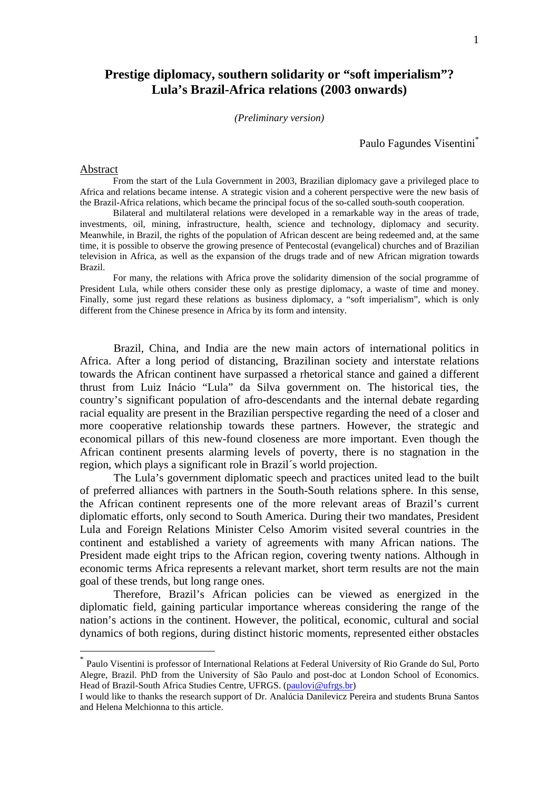# **Prestige diplomacy, southern solidarity or "soft imperialism"? Lula's Brazil-Africa relations (2003 onwards)**

#### *(Preliminary version)*

Paulo Fagundes Visentini\*

#### Abstract

1

From the start of the Lula Government in 2003, Brazilian diplomacy gave a privileged place to Africa and relations became intense. A strategic vision and a coherent perspective were the new basis of the Brazil-Africa relations, which became the principal focus of the so-called south-south cooperation.

Bilateral and multilateral relations were developed in a remarkable way in the areas of trade, investments, oil, mining, infrastructure, health, science and technology, diplomacy and security. Meanwhile, in Brazil, the rights of the population of African descent are being redeemed and, at the same time, it is possible to observe the growing presence of Pentecostal (evangelical) churches and of Brazilian television in Africa, as well as the expansion of the drugs trade and of new African migration towards Brazil.

For many, the relations with Africa prove the solidarity dimension of the social programme of President Lula, while others consider these only as prestige diplomacy, a waste of time and money. Finally, some just regard these relations as business diplomacy, a "soft imperialism", which is only different from the Chinese presence in Africa by its form and intensity.

 Brazil, China, and India are the new main actors of international politics in Africa. After a long period of distancing, Brazilinan society and interstate relations towards the African continent have surpassed a rhetorical stance and gained a different thrust from Luiz Inácio "Lula" da Silva government on. The historical ties, the country's significant population of afro-descendants and the internal debate regarding racial equality are present in the Brazilian perspective regarding the need of a closer and more cooperative relationship towards these partners. However, the strategic and economical pillars of this new-found closeness are more important. Even though the African continent presents alarming levels of poverty, there is no stagnation in the region, which plays a significant role in Brazil´s world projection.

 The Lula's government diplomatic speech and practices united lead to the built of preferred alliances with partners in the South-South relations sphere. In this sense, the African continent represents one of the more relevant areas of Brazil's current diplomatic efforts, only second to South America. During their two mandates, President Lula and Foreign Relations Minister Celso Amorim visited several countries in the continent and established a variety of agreements with many African nations. The President made eight trips to the African region, covering twenty nations. Although in economic terms Africa represents a relevant market, short term results are not the main goal of these trends, but long range ones.

 Therefore, Brazil's African policies can be viewed as energized in the diplomatic field, gaining particular importance whereas considering the range of the nation's actions in the continent. However, the political, economic, cultural and social dynamics of both regions, during distinct historic moments, represented either obstacles

<sup>\*</sup> Paulo Visentini is professor of International Relations at Federal University of Rio Grande do Sul, Porto Alegre, Brazil. PhD from the University of São Paulo and post-doc at London School of Economics. Head of Brazil-South Africa Studies Centre, UFRGS. (paulovi@ufrgs.br)

I would like to thanks the research support of Dr. Analúcia Danilevicz Pereira and students Bruna Santos and Helena Melchionna to this article.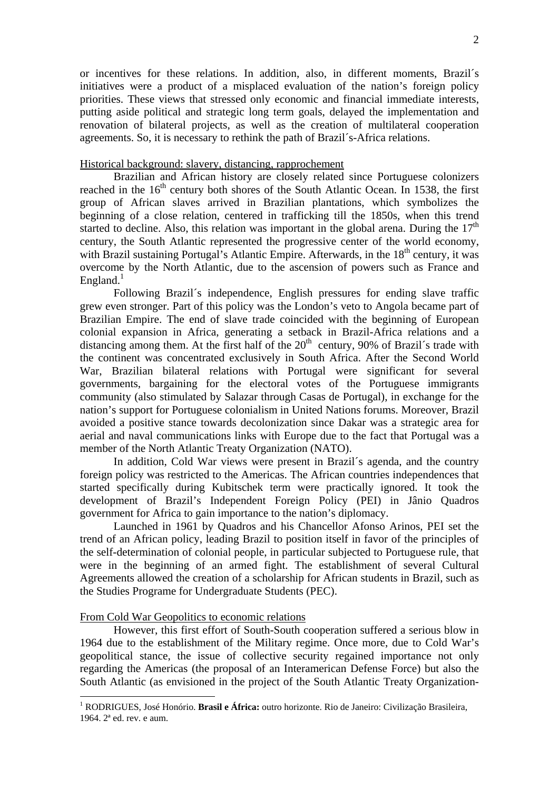or incentives for these relations. In addition, also, in different moments, Brazil´s initiatives were a product of a misplaced evaluation of the nation's foreign policy priorities. These views that stressed only economic and financial immediate interests, putting aside political and strategic long term goals, delayed the implementation and renovation of bilateral projects, as well as the creation of multilateral cooperation agreements. So, it is necessary to rethink the path of Brazil´s-Africa relations.

# Historical background: slavery, distancing, rapprochement

 Brazilian and African history are closely related since Portuguese colonizers reached in the  $16<sup>th</sup>$  century both shores of the South Atlantic Ocean. In 1538, the first group of African slaves arrived in Brazilian plantations, which symbolizes the beginning of a close relation, centered in trafficking till the 1850s, when this trend started to decline. Also, this relation was important in the global arena. During the  $17<sup>th</sup>$ century, the South Atlantic represented the progressive center of the world economy, with Brazil sustaining Portugal's Atlantic Empire. Afterwards, in the  $18<sup>th</sup>$  century, it was overcome by the North Atlantic, due to the ascension of powers such as France and England.<sup>1</sup>

 Following Brazil´s independence, English pressures for ending slave traffic grew even stronger. Part of this policy was the London's veto to Angola became part of Brazilian Empire. The end of slave trade coincided with the beginning of European colonial expansion in Africa, generating a setback in Brazil-Africa relations and a distancing among them. At the first half of the  $20<sup>th</sup>$  century, 90% of Brazil's trade with the continent was concentrated exclusively in South Africa. After the Second World War, Brazilian bilateral relations with Portugal were significant for several governments, bargaining for the electoral votes of the Portuguese immigrants community (also stimulated by Salazar through Casas de Portugal), in exchange for the nation's support for Portuguese colonialism in United Nations forums. Moreover, Brazil avoided a positive stance towards decolonization since Dakar was a strategic area for aerial and naval communications links with Europe due to the fact that Portugal was a member of the North Atlantic Treaty Organization (NATO).

 In addition, Cold War views were present in Brazil´s agenda, and the country foreign policy was restricted to the Americas. The African countries independences that started specifically during Kubitschek term were practically ignored. It took the development of Brazil's Independent Foreign Policy (PEI) in Jânio Quadros government for Africa to gain importance to the nation's diplomacy.

 Launched in 1961 by Quadros and his Chancellor Afonso Arinos, PEI set the trend of an African policy, leading Brazil to position itself in favor of the principles of the self-determination of colonial people, in particular subjected to Portuguese rule, that were in the beginning of an armed fight. The establishment of several Cultural Agreements allowed the creation of a scholarship for African students in Brazil, such as the Studies Programe for Undergraduate Students (PEC).

## From Cold War Geopolitics to economic relations

<u>.</u>

 However, this first effort of South-South cooperation suffered a serious blow in 1964 due to the establishment of the Military regime. Once more, due to Cold War's geopolitical stance, the issue of collective security regained importance not only regarding the Americas (the proposal of an Interamerican Defense Force) but also the South Atlantic (as envisioned in the project of the South Atlantic Treaty Organization-

<sup>1</sup> RODRIGUES, José Honório. **Brasil e África:** outro horizonte. Rio de Janeiro: Civilização Brasileira, 1964. 2ª ed. rev. e aum.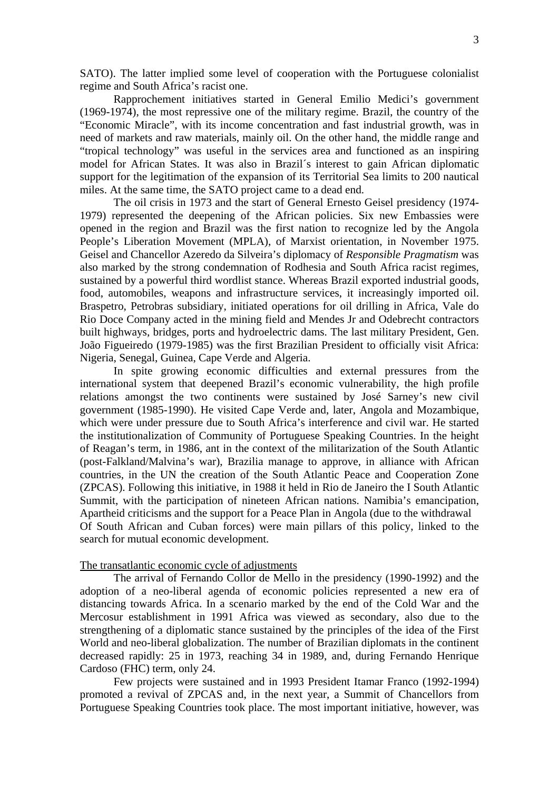SATO). The latter implied some level of cooperation with the Portuguese colonialist regime and South Africa's racist one.

 Rapprochement initiatives started in General Emilio Medici's government (1969-1974), the most repressive one of the military regime. Brazil, the country of the "Economic Miracle", with its income concentration and fast industrial growth, was in need of markets and raw materials, mainly oil. On the other hand, the middle range and "tropical technology" was useful in the services area and functioned as an inspiring model for African States. It was also in Brazil´s interest to gain African diplomatic support for the legitimation of the expansion of its Territorial Sea limits to 200 nautical miles. At the same time, the SATO project came to a dead end.

 The oil crisis in 1973 and the start of General Ernesto Geisel presidency (1974- 1979) represented the deepening of the African policies. Six new Embassies were opened in the region and Brazil was the first nation to recognize led by the Angola People's Liberation Movement (MPLA), of Marxist orientation, in November 1975. Geisel and Chancellor Azeredo da Silveira's diplomacy of *Responsible Pragmatism* was also marked by the strong condemnation of Rodhesia and South Africa racist regimes, sustained by a powerful third wordlist stance. Whereas Brazil exported industrial goods, food, automobiles, weapons and infrastructure services, it increasingly imported oil. Braspetro, Petrobras subsidiary, initiated operations for oil drilling in Africa, Vale do Rio Doce Company acted in the mining field and Mendes Jr and Odebrecht contractors built highways, bridges, ports and hydroelectric dams. The last military President, Gen. João Figueiredo (1979-1985) was the first Brazilian President to officially visit Africa: Nigeria, Senegal, Guinea, Cape Verde and Algeria.

 In spite growing economic difficulties and external pressures from the international system that deepened Brazil's economic vulnerability, the high profile relations amongst the two continents were sustained by José Sarney's new civil government (1985-1990). He visited Cape Verde and, later, Angola and Mozambique, which were under pressure due to South Africa's interference and civil war. He started the institutionalization of Community of Portuguese Speaking Countries. In the height of Reagan's term, in 1986, ant in the context of the militarization of the South Atlantic (post-Falkland/Malvina's war), Brazilia manage to approve, in alliance with African countries, in the UN the creation of the South Atlantic Peace and Cooperation Zone (ZPCAS). Following this initiative, in 1988 it held in Rio de Janeiro the I South Atlantic Summit, with the participation of nineteen African nations. Namibia's emancipation, Apartheid criticisms and the support for a Peace Plan in Angola (due to the withdrawal Of South African and Cuban forces) were main pillars of this policy, linked to the search for mutual economic development.

### The transatlantic economic cycle of adjustments

 The arrival of Fernando Collor de Mello in the presidency (1990-1992) and the adoption of a neo-liberal agenda of economic policies represented a new era of distancing towards Africa. In a scenario marked by the end of the Cold War and the Mercosur establishment in 1991 Africa was viewed as secondary, also due to the strengthening of a diplomatic stance sustained by the principles of the idea of the First World and neo-liberal globalization. The number of Brazilian diplomats in the continent decreased rapidly: 25 in 1973, reaching 34 in 1989, and, during Fernando Henrique Cardoso (FHC) term, only 24.

 Few projects were sustained and in 1993 President Itamar Franco (1992-1994) promoted a revival of ZPCAS and, in the next year, a Summit of Chancellors from Portuguese Speaking Countries took place. The most important initiative, however, was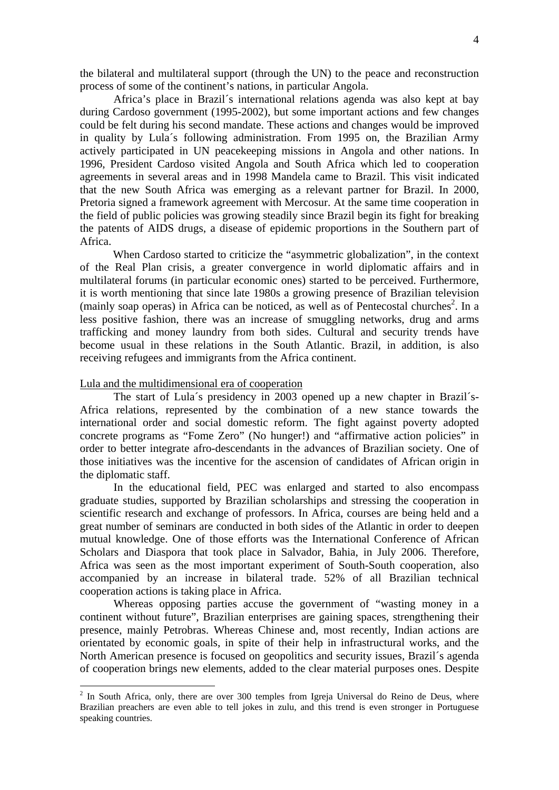the bilateral and multilateral support (through the UN) to the peace and reconstruction process of some of the continent's nations, in particular Angola.

 Africa's place in Brazil´s international relations agenda was also kept at bay during Cardoso government (1995-2002), but some important actions and few changes could be felt during his second mandate. These actions and changes would be improved in quality by Lula´s following administration. From 1995 on, the Brazilian Army actively participated in UN peacekeeping missions in Angola and other nations. In 1996, President Cardoso visited Angola and South Africa which led to cooperation agreements in several areas and in 1998 Mandela came to Brazil. This visit indicated that the new South Africa was emerging as a relevant partner for Brazil. In 2000, Pretoria signed a framework agreement with Mercosur. At the same time cooperation in the field of public policies was growing steadily since Brazil begin its fight for breaking the patents of AIDS drugs, a disease of epidemic proportions in the Southern part of Africa.

When Cardoso started to criticize the "asymmetric globalization", in the context of the Real Plan crisis, a greater convergence in world diplomatic affairs and in multilateral forums (in particular economic ones) started to be perceived. Furthermore, it is worth mentioning that since late 1980s a growing presence of Brazilian television (mainly soap operas) in Africa can be noticed, as well as of Pentecostal churches<sup>2</sup>. In a less positive fashion, there was an increase of smuggling networks, drug and arms trafficking and money laundry from both sides. Cultural and security trends have become usual in these relations in the South Atlantic. Brazil, in addition, is also receiving refugees and immigrants from the Africa continent.

## Lula and the multidimensional era of cooperation

1

 The start of Lula´s presidency in 2003 opened up a new chapter in Brazil´s-Africa relations, represented by the combination of a new stance towards the international order and social domestic reform. The fight against poverty adopted concrete programs as "Fome Zero" (No hunger!) and "affirmative action policies" in order to better integrate afro-descendants in the advances of Brazilian society. One of those initiatives was the incentive for the ascension of candidates of African origin in the diplomatic staff.

 In the educational field, PEC was enlarged and started to also encompass graduate studies, supported by Brazilian scholarships and stressing the cooperation in scientific research and exchange of professors. In Africa, courses are being held and a great number of seminars are conducted in both sides of the Atlantic in order to deepen mutual knowledge. One of those efforts was the International Conference of African Scholars and Diaspora that took place in Salvador, Bahia, in July 2006. Therefore, Africa was seen as the most important experiment of South-South cooperation, also accompanied by an increase in bilateral trade. 52% of all Brazilian technical cooperation actions is taking place in Africa.

 Whereas opposing parties accuse the government of "wasting money in a continent without future", Brazilian enterprises are gaining spaces, strengthening their presence, mainly Petrobras. Whereas Chinese and, most recently, Indian actions are orientated by economic goals, in spite of their help in infrastructural works, and the North American presence is focused on geopolitics and security issues, Brazil´s agenda of cooperation brings new elements, added to the clear material purposes ones. Despite

 $2$  In South Africa, only, there are over 300 temples from Igreja Universal do Reino de Deus, where Brazilian preachers are even able to tell jokes in zulu, and this trend is even stronger in Portuguese speaking countries.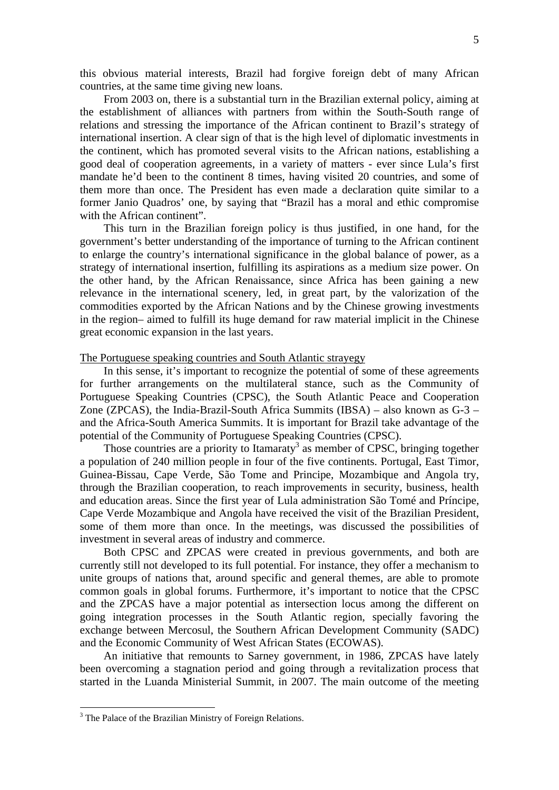this obvious material interests, Brazil had forgive foreign debt of many African countries, at the same time giving new loans.

From 2003 on, there is a substantial turn in the Brazilian external policy, aiming at the establishment of alliances with partners from within the South-South range of relations and stressing the importance of the African continent to Brazil's strategy of international insertion. A clear sign of that is the high level of diplomatic investments in the continent, which has promoted several visits to the African nations, establishing a good deal of cooperation agreements, in a variety of matters - ever since Lula's first mandate he'd been to the continent 8 times, having visited 20 countries, and some of them more than once. The President has even made a declaration quite similar to a former Janio Quadros' one, by saying that "Brazil has a moral and ethic compromise with the African continent".

This turn in the Brazilian foreign policy is thus justified, in one hand, for the government's better understanding of the importance of turning to the African continent to enlarge the country's international significance in the global balance of power, as a strategy of international insertion, fulfilling its aspirations as a medium size power. On the other hand, by the African Renaissance, since Africa has been gaining a new relevance in the international scenery, led, in great part, by the valorization of the commodities exported by the African Nations and by the Chinese growing investments in the region– aimed to fulfill its huge demand for raw material implicit in the Chinese great economic expansion in the last years.

#### The Portuguese speaking countries and South Atlantic strayegy

In this sense, it's important to recognize the potential of some of these agreements for further arrangements on the multilateral stance, such as the Community of Portuguese Speaking Countries (CPSC), the South Atlantic Peace and Cooperation Zone (ZPCAS), the India-Brazil-South Africa Summits (IBSA) – also known as G-3 – and the Africa-South America Summits. It is important for Brazil take advantage of the potential of the Community of Portuguese Speaking Countries (CPSC).

Those countries are a priority to Itamaraty<sup>3</sup> as member of CPSC, bringing together a population of 240 million people in four of the five continents. Portugal, East Timor, Guinea-Bissau, Cape Verde, São Tome and Principe, Mozambique and Angola try, through the Brazilian cooperation, to reach improvements in security, business, health and education areas. Since the first year of Lula administration São Tomé and Príncipe, Cape Verde Mozambique and Angola have received the visit of the Brazilian President, some of them more than once. In the meetings, was discussed the possibilities of investment in several areas of industry and commerce.

Both CPSC and ZPCAS were created in previous governments, and both are currently still not developed to its full potential. For instance, they offer a mechanism to unite groups of nations that, around specific and general themes, are able to promote common goals in global forums. Furthermore, it's important to notice that the CPSC and the ZPCAS have a major potential as intersection locus among the different on going integration processes in the South Atlantic region, specially favoring the exchange between Mercosul, the Southern African Development Community (SADC) and the Economic Community of West African States (ECOWAS).

An initiative that remounts to Sarney government, in 1986, ZPCAS have lately been overcoming a stagnation period and going through a revitalization process that started in the Luanda Ministerial Summit, in 2007. The main outcome of the meeting

1

<sup>&</sup>lt;sup>3</sup> The Palace of the Brazilian Ministry of Foreign Relations.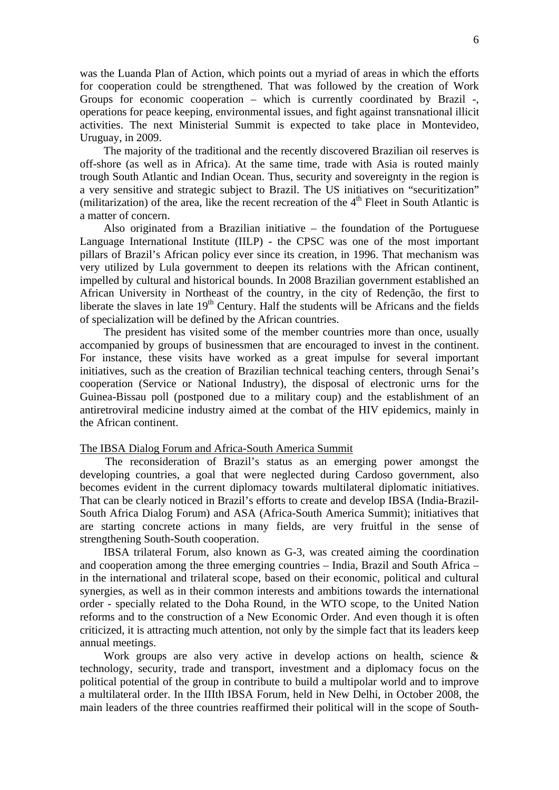was the Luanda Plan of Action, which points out a myriad of areas in which the efforts for cooperation could be strengthened. That was followed by the creation of Work Groups for economic cooperation – which is currently coordinated by Brazil -, operations for peace keeping, environmental issues, and fight against transnational illicit activities. The next Ministerial Summit is expected to take place in Montevideo, Uruguay, in 2009.

The majority of the traditional and the recently discovered Brazilian oil reserves is off-shore (as well as in Africa). At the same time, trade with Asia is routed mainly trough South Atlantic and Indian Ocean. Thus, security and sovereignty in the region is a very sensitive and strategic subject to Brazil. The US initiatives on "securitization" (militarization) of the area, like the recent recreation of the  $4<sup>th</sup>$  Fleet in South Atlantic is a matter of concern.

Also originated from a Brazilian initiative – the foundation of the Portuguese Language International Institute (IILP) - the CPSC was one of the most important pillars of Brazil's African policy ever since its creation, in 1996. That mechanism was very utilized by Lula government to deepen its relations with the African continent, impelled by cultural and historical bounds. In 2008 Brazilian government established an African University in Northeast of the country, in the city of Redenção, the first to liberate the slaves in late  $19<sup>th</sup>$  Century. Half the students will be Africans and the fields of specialization will be defined by the African countries.

The president has visited some of the member countries more than once, usually accompanied by groups of businessmen that are encouraged to invest in the continent. For instance, these visits have worked as a great impulse for several important initiatives, such as the creation of Brazilian technical teaching centers, through Senai's cooperation (Service or National Industry), the disposal of electronic urns for the Guinea-Bissau poll (postponed due to a military coup) and the establishment of an antiretroviral medicine industry aimed at the combat of the HIV epidemics, mainly in the African continent.

## The IBSA Dialog Forum and Africa-South America Summit

The reconsideration of Brazil's status as an emerging power amongst the developing countries, a goal that were neglected during Cardoso government, also becomes evident in the current diplomacy towards multilateral diplomatic initiatives. That can be clearly noticed in Brazil's efforts to create and develop IBSA (India-Brazil-South Africa Dialog Forum) and ASA (Africa-South America Summit); initiatives that are starting concrete actions in many fields, are very fruitful in the sense of strengthening South-South cooperation.

IBSA trilateral Forum, also known as G-3, was created aiming the coordination and cooperation among the three emerging countries – India, Brazil and South Africa – in the international and trilateral scope, based on their economic, political and cultural synergies, as well as in their common interests and ambitions towards the international order - specially related to the Doha Round, in the WTO scope, to the United Nation reforms and to the construction of a New Economic Order. And even though it is often criticized, it is attracting much attention, not only by the simple fact that its leaders keep annual meetings.

Work groups are also very active in develop actions on health, science & technology, security, trade and transport, investment and a diplomacy focus on the political potential of the group in contribute to build a multipolar world and to improve a multilateral order. In the IIIth IBSA Forum, held in New Delhi, in October 2008, the main leaders of the three countries reaffirmed their political will in the scope of South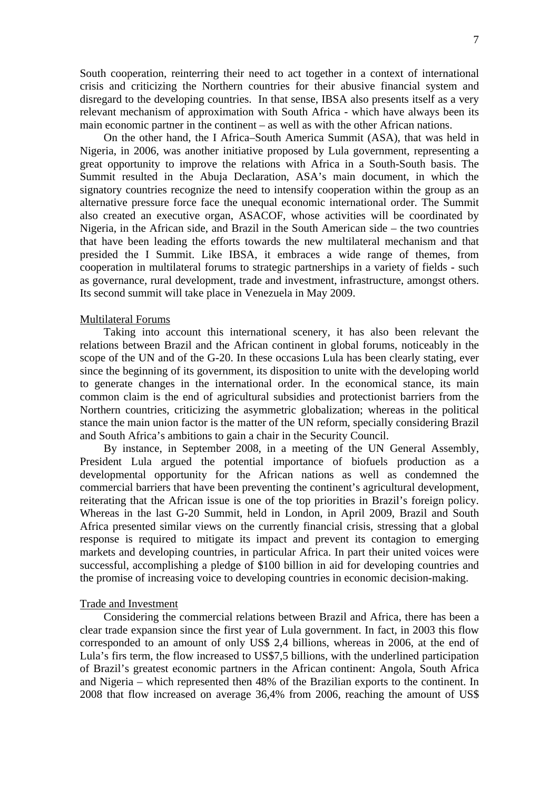South cooperation, reinterring their need to act together in a context of international crisis and criticizing the Northern countries for their abusive financial system and disregard to the developing countries. In that sense, IBSA also presents itself as a very relevant mechanism of approximation with South Africa - which have always been its main economic partner in the continent – as well as with the other African nations.

On the other hand, the I Africa–South America Summit (ASA), that was held in Nigeria, in 2006, was another initiative proposed by Lula government, representing a great opportunity to improve the relations with Africa in a South-South basis. The Summit resulted in the Abuja Declaration, ASA's main document, in which the signatory countries recognize the need to intensify cooperation within the group as an alternative pressure force face the unequal economic international order. The Summit also created an executive organ, ASACOF, whose activities will be coordinated by Nigeria, in the African side, and Brazil in the South American side – the two countries that have been leading the efforts towards the new multilateral mechanism and that presided the I Summit. Like IBSA, it embraces a wide range of themes, from cooperation in multilateral forums to strategic partnerships in a variety of fields - such as governance, rural development, trade and investment, infrastructure, amongst others. Its second summit will take place in Venezuela in May 2009.

### Multilateral Forums

Taking into account this international scenery, it has also been relevant the relations between Brazil and the African continent in global forums, noticeably in the scope of the UN and of the G-20. In these occasions Lula has been clearly stating, ever since the beginning of its government, its disposition to unite with the developing world to generate changes in the international order. In the economical stance, its main common claim is the end of agricultural subsidies and protectionist barriers from the Northern countries, criticizing the asymmetric globalization; whereas in the political stance the main union factor is the matter of the UN reform, specially considering Brazil and South Africa's ambitions to gain a chair in the Security Council.

By instance, in September 2008, in a meeting of the UN General Assembly, President Lula argued the potential importance of biofuels production as a developmental opportunity for the African nations as well as condemned the commercial barriers that have been preventing the continent's agricultural development, reiterating that the African issue is one of the top priorities in Brazil's foreign policy. Whereas in the last G-20 Summit, held in London, in April 2009, Brazil and South Africa presented similar views on the currently financial crisis, stressing that a global response is required to mitigate its impact and prevent its contagion to emerging markets and developing countries, in particular Africa. In part their united voices were successful, accomplishing a pledge of \$100 billion in aid for developing countries and the promise of increasing voice to developing countries in economic decision-making.

## Trade and Investment

Considering the commercial relations between Brazil and Africa, there has been a clear trade expansion since the first year of Lula government. In fact, in 2003 this flow corresponded to an amount of only US\$ 2,4 billions, whereas in 2006, at the end of Lula's firs term, the flow increased to US\$7,5 billions, with the underlined participation of Brazil's greatest economic partners in the African continent: Angola, South Africa and Nigeria – which represented then 48% of the Brazilian exports to the continent. In 2008 that flow increased on average 36,4% from 2006, reaching the amount of US\$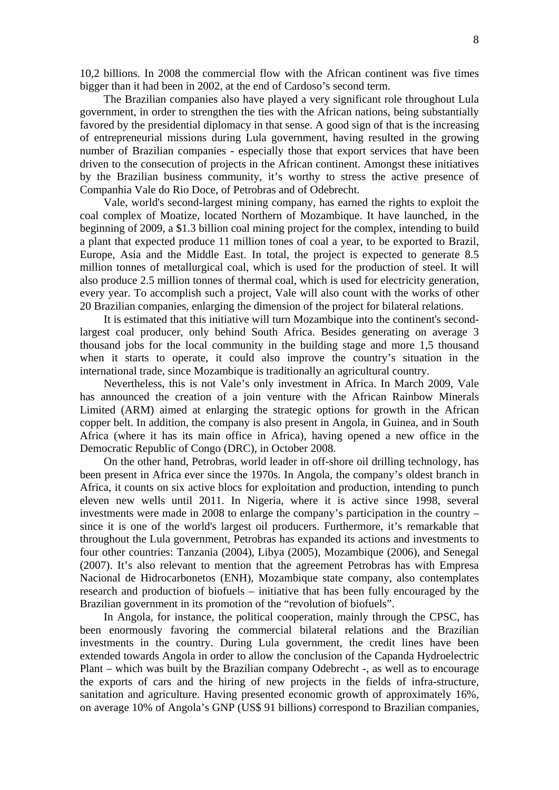10,2 billions. In 2008 the commercial flow with the African continent was five times bigger than it had been in 2002, at the end of Cardoso's second term.

The Brazilian companies also have played a very significant role throughout Lula government, in order to strengthen the ties with the African nations, being substantially favored by the presidential diplomacy in that sense. A good sign of that is the increasing of entrepreneurial missions during Lula government, having resulted in the growing number of Brazilian companies - especially those that export services that have been driven to the consecution of projects in the African continent. Amongst these initiatives by the Brazilian business community, it's worthy to stress the active presence of Companhia Vale do Rio Doce, of Petrobras and of Odebrecht.

Vale, world's second-largest mining company, has earned the rights to exploit the coal complex of Moatize, located Northern of Mozambique. It have launched, in the beginning of 2009, a \$1.3 billion coal mining project for the complex, intending to build a plant that expected produce 11 million tones of coal a year, to be exported to Brazil, Europe, Asia and the Middle East. In total, the project is expected to generate 8.5 million tonnes of metallurgical coal, which is used for the production of steel. It will also produce 2.5 million tonnes of thermal coal, which is used for electricity generation, every year. To accomplish such a project, Vale will also count with the works of other 20 Brazilian companies, enlarging the dimension of the project for bilateral relations.

It is estimated that this initiative will turn Mozambique into the continent's secondlargest coal producer, only behind South Africa. Besides generating on average 3 thousand jobs for the local community in the building stage and more 1,5 thousand when it starts to operate, it could also improve the country's situation in the international trade, since Mozambique is traditionally an agricultural country.

Nevertheless, this is not Vale's only investment in Africa. In March 2009, Vale has announced the creation of a join venture with the African Rainbow Minerals Limited (ARM) aimed at enlarging the strategic options for growth in the African copper belt. In addition, the company is also present in Angola, in Guinea, and in South Africa (where it has its main office in Africa), having opened a new office in the Democratic Republic of Congo (DRC), in October 2008.

On the other hand, Petrobras, world leader in off-shore oil drilling technology, has been present in Africa ever since the 1970s. In Angola, the company's oldest branch in Africa, it counts on six active blocs for exploitation and production, intending to punch eleven new wells until 2011. In Nigeria, where it is active since 1998, several investments were made in 2008 to enlarge the company's participation in the country – since it is one of the world's largest oil producers. Furthermore, it's remarkable that throughout the Lula government, Petrobras has expanded its actions and investments to four other countries: Tanzania (2004), Libya (2005), Mozambique (2006), and Senegal (2007). It's also relevant to mention that the agreement Petrobras has with Empresa Nacional de Hidrocarbonetos (ENH), Mozambique state company, also contemplates research and production of biofuels – initiative that has been fully encouraged by the Brazilian government in its promotion of the "revolution of biofuels".

In Angola, for instance, the political cooperation, mainly through the CPSC, has been enormously favoring the commercial bilateral relations and the Brazilian investments in the country. During Lula government, the credit lines have been extended towards Angola in order to allow the conclusion of the Capanda Hydroelectric Plant – which was built by the Brazilian company Odebrecht -, as well as to encourage the exports of cars and the hiring of new projects in the fields of infra-structure, sanitation and agriculture. Having presented economic growth of approximately 16%, on average 10% of Angola's GNP (US\$ 91 billions) correspond to Brazilian companies,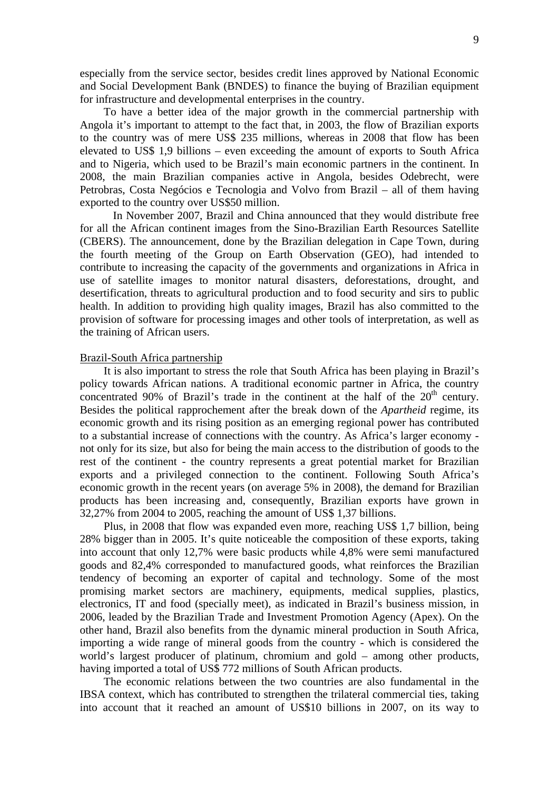especially from the service sector, besides credit lines approved by National Economic and Social Development Bank (BNDES) to finance the buying of Brazilian equipment for infrastructure and developmental enterprises in the country.

To have a better idea of the major growth in the commercial partnership with Angola it's important to attempt to the fact that, in 2003, the flow of Brazilian exports to the country was of mere US\$ 235 millions, whereas in 2008 that flow has been elevated to US\$ 1,9 billions – even exceeding the amount of exports to South Africa and to Nigeria, which used to be Brazil's main economic partners in the continent. In 2008, the main Brazilian companies active in Angola, besides Odebrecht, were Petrobras, Costa Negócios e Tecnologia and Volvo from Brazil – all of them having exported to the country over US\$50 million.

In November 2007, Brazil and China announced that they would distribute free for all the African continent images from the Sino-Brazilian Earth Resources Satellite (CBERS). The announcement, done by the Brazilian delegation in Cape Town, during the fourth meeting of the Group on Earth Observation (GEO), had intended to contribute to increasing the capacity of the governments and organizations in Africa in use of satellite images to monitor natural disasters, deforestations, drought, and desertification, threats to agricultural production and to food security and sirs to public health. In addition to providing high quality images, Brazil has also committed to the provision of software for processing images and other tools of interpretation, as well as the training of African users.

# Brazil-South Africa partnership

It is also important to stress the role that South Africa has been playing in Brazil's policy towards African nations. A traditional economic partner in Africa, the country concentrated 90% of Brazil's trade in the continent at the half of the  $20<sup>th</sup>$  century. Besides the political rapprochement after the break down of the *Apartheid* regime, its economic growth and its rising position as an emerging regional power has contributed to a substantial increase of connections with the country. As Africa's larger economy not only for its size, but also for being the main access to the distribution of goods to the rest of the continent - the country represents a great potential market for Brazilian exports and a privileged connection to the continent. Following South Africa's economic growth in the recent years (on average 5% in 2008), the demand for Brazilian products has been increasing and, consequently, Brazilian exports have grown in 32,27% from 2004 to 2005, reaching the amount of US\$ 1,37 billions.

Plus, in 2008 that flow was expanded even more, reaching US\$ 1,7 billion, being 28% bigger than in 2005. It's quite noticeable the composition of these exports, taking into account that only 12,7% were basic products while 4,8% were semi manufactured goods and 82,4% corresponded to manufactured goods, what reinforces the Brazilian tendency of becoming an exporter of capital and technology. Some of the most promising market sectors are machinery, equipments, medical supplies, plastics, electronics, IT and food (specially meet), as indicated in Brazil's business mission, in 2006, leaded by the Brazilian Trade and Investment Promotion Agency (Apex). On the other hand, Brazil also benefits from the dynamic mineral production in South Africa, importing a wide range of mineral goods from the country - which is considered the world's largest producer of platinum, chromium and gold – among other products, having imported a total of US\$ 772 millions of South African products.

The economic relations between the two countries are also fundamental in the IBSA context, which has contributed to strengthen the trilateral commercial ties, taking into account that it reached an amount of US\$10 billions in 2007, on its way to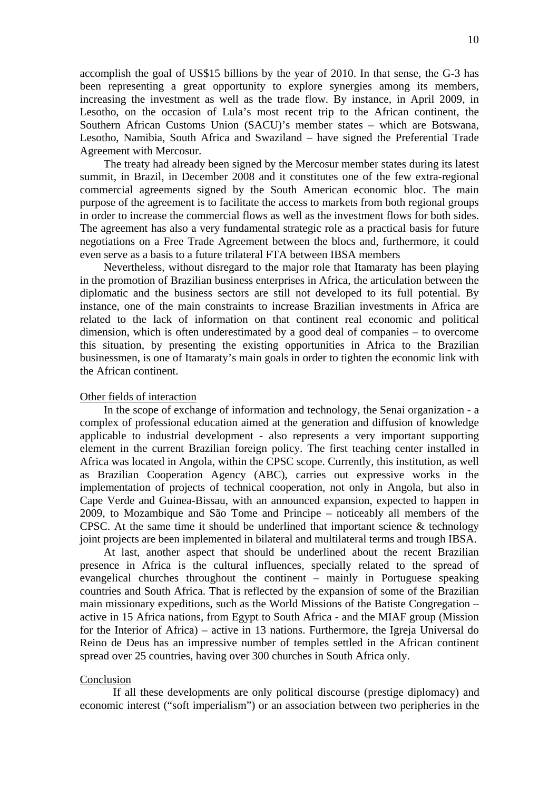accomplish the goal of US\$15 billions by the year of 2010. In that sense, the G-3 has been representing a great opportunity to explore synergies among its members, increasing the investment as well as the trade flow. By instance, in April 2009, in Lesotho, on the occasion of Lula's most recent trip to the African continent, the Southern African Customs Union (SACU)'s member states – which are Botswana, Lesotho, Namibia, South Africa and Swaziland – have signed the Preferential Trade Agreement with Mercosur.

The treaty had already been signed by the Mercosur member states during its latest summit, in Brazil, in December 2008 and it constitutes one of the few extra-regional commercial agreements signed by the South American economic bloc. The main purpose of the agreement is to facilitate the access to markets from both regional groups in order to increase the commercial flows as well as the investment flows for both sides. The agreement has also a very fundamental strategic role as a practical basis for future negotiations on a Free Trade Agreement between the blocs and, furthermore, it could even serve as a basis to a future trilateral FTA between IBSA members

Nevertheless, without disregard to the major role that Itamaraty has been playing in the promotion of Brazilian business enterprises in Africa, the articulation between the diplomatic and the business sectors are still not developed to its full potential. By instance, one of the main constraints to increase Brazilian investments in Africa are related to the lack of information on that continent real economic and political dimension, which is often underestimated by a good deal of companies – to overcome this situation, by presenting the existing opportunities in Africa to the Brazilian businessmen, is one of Itamaraty's main goals in order to tighten the economic link with the African continent.

# Other fields of interaction

In the scope of exchange of information and technology, the Senai organization - a complex of professional education aimed at the generation and diffusion of knowledge applicable to industrial development - also represents a very important supporting element in the current Brazilian foreign policy. The first teaching center installed in Africa was located in Angola, within the CPSC scope. Currently, this institution, as well as Brazilian Cooperation Agency (ABC), carries out expressive works in the implementation of projects of technical cooperation, not only in Angola, but also in Cape Verde and Guinea-Bissau, with an announced expansion, expected to happen in 2009, to Mozambique and São Tome and Principe – noticeably all members of the CPSC. At the same time it should be underlined that important science  $\&$  technology joint projects are been implemented in bilateral and multilateral terms and trough IBSA.

At last, another aspect that should be underlined about the recent Brazilian presence in Africa is the cultural influences, specially related to the spread of evangelical churches throughout the continent – mainly in Portuguese speaking countries and South Africa. That is reflected by the expansion of some of the Brazilian main missionary expeditions, such as the World Missions of the Batiste Congregation – active in 15 Africa nations, from Egypt to South Africa - and the MIAF group (Mission for the Interior of Africa) – active in 13 nations. Furthermore, the Igreja Universal do Reino de Deus has an impressive number of temples settled in the African continent spread over 25 countries, having over 300 churches in South Africa only.

#### Conclusion

If all these developments are only political discourse (prestige diplomacy) and economic interest ("soft imperialism") or an association between two peripheries in the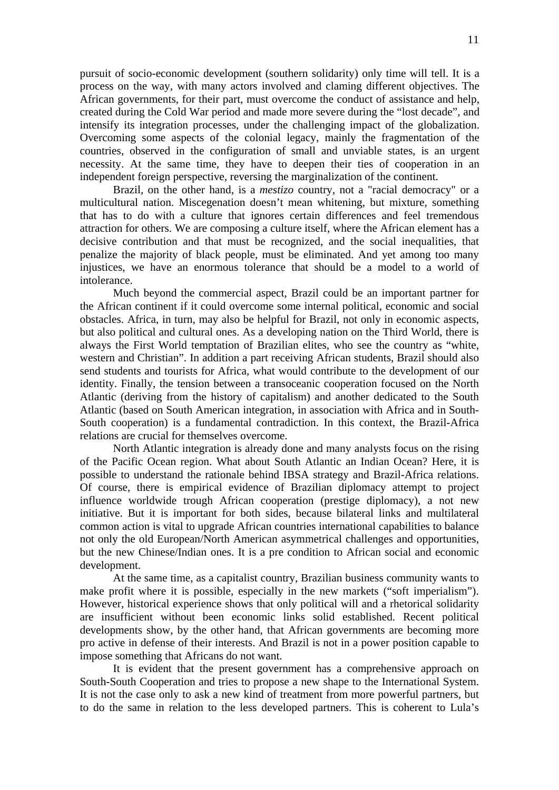pursuit of socio-economic development (southern solidarity) only time will tell. It is a process on the way, with many actors involved and claming different objectives. The African governments, for their part, must overcome the conduct of assistance and help, created during the Cold War period and made more severe during the "lost decade", and intensify its integration processes, under the challenging impact of the globalization. Overcoming some aspects of the colonial legacy, mainly the fragmentation of the countries, observed in the configuration of small and unviable states, is an urgent necessity. At the same time, they have to deepen their ties of cooperation in an independent foreign perspective, reversing the marginalization of the continent.

Brazil, on the other hand, is a *mestizo* country, not a "racial democracy" or a multicultural nation. Miscegenation doesn't mean whitening, but mixture, something that has to do with a culture that ignores certain differences and feel tremendous attraction for others. We are composing a culture itself, where the African element has a decisive contribution and that must be recognized, and the social inequalities, that penalize the majority of black people, must be eliminated. And yet among too many injustices, we have an enormous tolerance that should be a model to a world of intolerance.

Much beyond the commercial aspect, Brazil could be an important partner for the African continent if it could overcome some internal political, economic and social obstacles. Africa, in turn, may also be helpful for Brazil, not only in economic aspects, but also political and cultural ones. As a developing nation on the Third World, there is always the First World temptation of Brazilian elites, who see the country as "white, western and Christian". In addition a part receiving African students, Brazil should also send students and tourists for Africa, what would contribute to the development of our identity. Finally, the tension between a transoceanic cooperation focused on the North Atlantic (deriving from the history of capitalism) and another dedicated to the South Atlantic (based on South American integration, in association with Africa and in South-South cooperation) is a fundamental contradiction. In this context, the Brazil-Africa relations are crucial for themselves overcome.

North Atlantic integration is already done and many analysts focus on the rising of the Pacific Ocean region. What about South Atlantic an Indian Ocean? Here, it is possible to understand the rationale behind IBSA strategy and Brazil-Africa relations. Of course, there is empirical evidence of Brazilian diplomacy attempt to project influence worldwide trough African cooperation (prestige diplomacy), a not new initiative. But it is important for both sides, because bilateral links and multilateral common action is vital to upgrade African countries international capabilities to balance not only the old European/North American asymmetrical challenges and opportunities, but the new Chinese/Indian ones. It is a pre condition to African social and economic development.

At the same time, as a capitalist country, Brazilian business community wants to make profit where it is possible, especially in the new markets ("soft imperialism"). However, historical experience shows that only political will and a rhetorical solidarity are insufficient without been economic links solid established. Recent political developments show, by the other hand, that African governments are becoming more pro active in defense of their interests. And Brazil is not in a power position capable to impose something that Africans do not want.

It is evident that the present government has a comprehensive approach on South-South Cooperation and tries to propose a new shape to the International System. It is not the case only to ask a new kind of treatment from more powerful partners, but to do the same in relation to the less developed partners. This is coherent to Lula's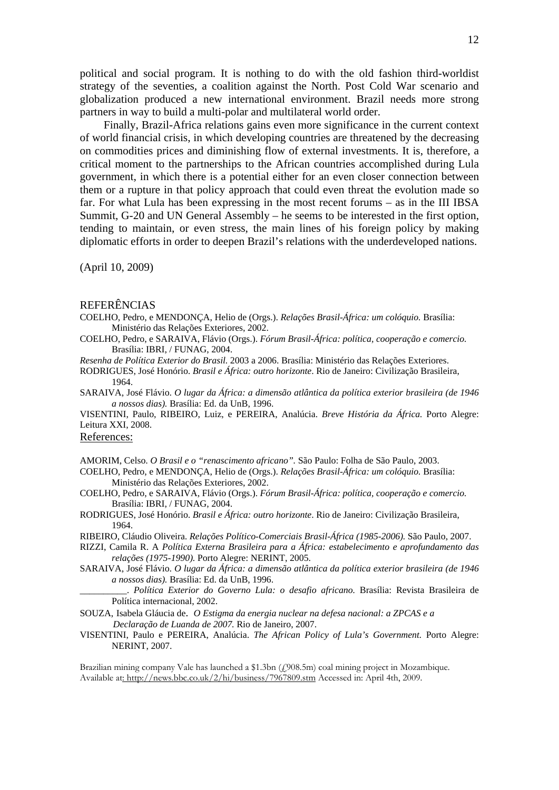political and social program. It is nothing to do with the old fashion third-worldist strategy of the seventies, a coalition against the North. Post Cold War scenario and globalization produced a new international environment. Brazil needs more strong partners in way to build a multi-polar and multilateral world order.

Finally, Brazil-Africa relations gains even more significance in the current context of world financial crisis, in which developing countries are threatened by the decreasing on commodities prices and diminishing flow of external investments. It is, therefore, a critical moment to the partnerships to the African countries accomplished during Lula government, in which there is a potential either for an even closer connection between them or a rupture in that policy approach that could even threat the evolution made so far. For what Lula has been expressing in the most recent forums – as in the III IBSA Summit, G-20 and UN General Assembly – he seems to be interested in the first option, tending to maintain, or even stress, the main lines of his foreign policy by making diplomatic efforts in order to deepen Brazil's relations with the underdeveloped nations.

(April 10, 2009)

# **REFERÊNCIAS**

COELHO, Pedro, e MENDONÇA, Helio de (Orgs.). *Relações Brasil-África: um colóquio.* Brasília: Ministério das Relações Exteriores, 2002.

COELHO, Pedro, e SARAIVA, Flávio (Orgs.). *Fórum Brasil-África: política, cooperação e comercio.*  Brasília: IBRI, / FUNAG, 2004.

*Resenha de Política Exterior do Brasil.* 2003 a 2006. Brasília: Ministério das Relações Exteriores.

RODRIGUES, José Honório. *Brasil e África: outro horizonte*. Rio de Janeiro: Civilização Brasileira, 1964.

SARAIVA, José Flávio. *O lugar da África: a dimensão atlântica da política exterior brasileira (de 1946 a nossos dias).* Brasília: Ed. da UnB, 1996.

VISENTINI, Paulo, RIBEIRO, Luiz, e PEREIRA, Analúcia. *Breve História da África.* Porto Alegre: Leitura XXI, 2008.

References:

AMORIM, Celso. *O Brasil e o "renascimento africano".* São Paulo: Folha de São Paulo, 2003.

COELHO, Pedro, e MENDONÇA, Helio de (Orgs.). *Relações Brasil-África: um colóquio.* Brasília: Ministério das Relações Exteriores, 2002.

- COELHO, Pedro, e SARAIVA, Flávio (Orgs.). *Fórum Brasil-África: política, cooperação e comercio.*  Brasília: IBRI, / FUNAG, 2004.
- RODRIGUES, José Honório. *Brasil e África: outro horizonte*. Rio de Janeiro: Civilização Brasileira, 1964.

RIBEIRO, Cláudio Oliveira. *Relações Político-Comerciais Brasil-África (1985-2006).* São Paulo, 2007.

- RIZZI, Camila R. A *Política Externa Brasileira para a África: estabelecimento e aprofundamento das relações (1975-1990).* Porto Alegre: NERINT, 2005.
- SARAIVA, José Flávio. *O lugar da África: a dimensão atlântica da política exterior brasileira (de 1946 a nossos dias).* Brasília: Ed. da UnB, 1996.

\_\_\_\_\_\_\_\_\_\_. *Política Exterior do Governo Lula: o desafio africano.* Brasília: Revista Brasileira de Política internacional, 2002.

SOUZA, Isabela Gláucia de. *O Estigma da energia nuclear na defesa nacional: a ZPCAS e a Declaração de Luanda de 2007.* Rio de Janeiro, 2007.

VISENTINI, Paulo e PEREIRA, Analúcia. *The African Policy of Lula's Government.* Porto Alegre: NERINT, 2007.

Brazilian mining company Vale has launched a \$1.3bn (£908.5m) coal mining project in Mozambique. Available at: http://news.bbc.co.uk/2/hi/business/7967809.stm Accessed in: April 4th, 2009.